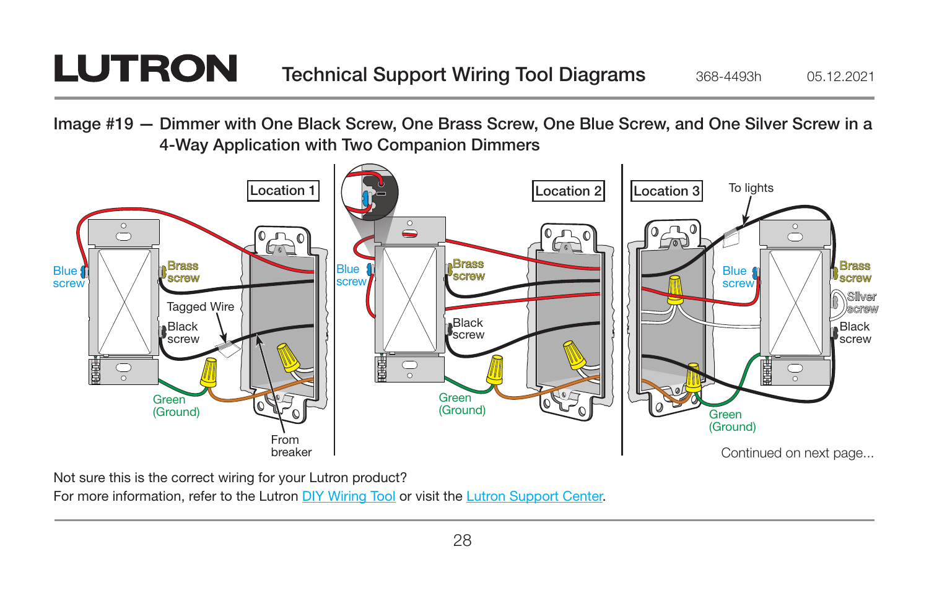## **LUTRON**

Image #19 — Dimmer with One Black Screw, One Brass Screw, One Blue Screw, and One Silver Screw in a 4-Way Application with Two Companion Dimmers



Not sure this is the correct wiring for your Lutron product?

For more information, refer to the Lutron DIY Wiring Tool or visit the Lutron Support Center.